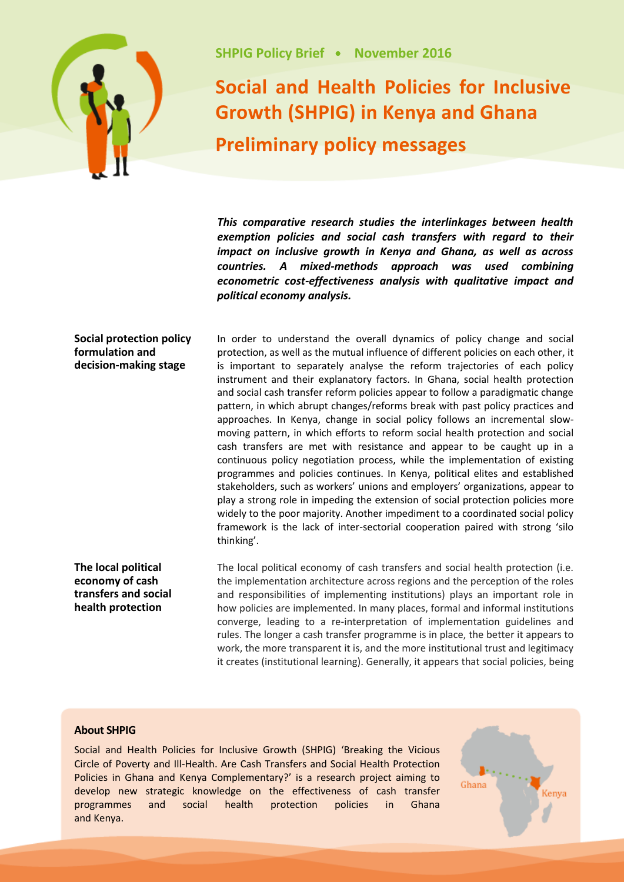

## **Social and Health Policies for Inclusive Growth (SHPIG) in Kenya and Ghana Preliminary policy messages**

*This comparative research studies the interlinkages between health exemption policies and social cash transfers with regard to their impact on inclusive growth in Kenya and Ghana, as well as across countries. A mixed-methods approach was used combining econometric cost-effectiveness analysis with qualitative impact and political economy analysis.*

In order to understand the overall dynamics of policy change and social

## **Social protection policy formulation and decision-making stage**

protection, as well as the mutual influence of different policies on each other, it is important to separately analyse the reform trajectories of each policy instrument and their explanatory factors. In Ghana, social health protection and social cash transfer reform policies appear to follow a paradigmatic change pattern, in which abrupt changes/reforms break with past policy practices and approaches. In Kenya, change in social policy follows an incremental slowmoving pattern, in which efforts to reform social health protection and social cash transfers are met with resistance and appear to be caught up in a continuous policy negotiation process, while the implementation of existing programmes and policies continues. In Kenya, political elites and established stakeholders, such as workers' unions and employers' organizations, appear to play a strong role in impeding the extension of social protection policies more widely to the poor majority. Another impediment to a coordinated social policy framework is the lack of inter-sectorial cooperation paired with strong 'silo thinking'.

**The local political economy of cash transfers and social health protection**

The local political economy of cash transfers and social health protection (i.e. the implementation architecture across regions and the perception of the roles and responsibilities of implementing institutions) plays an important role in how policies are implemented. In many places, formal and informal institutions converge, leading to a re-interpretation of implementation guidelines and rules. The longer a cash transfer programme is in place, the better it appears to work, the more transparent it is, and the more institutional trust and legitimacy it creates (institutional learning). Generally, it appears that social policies, being

## **About SHPIG**

Social and Health Policies for Inclusive Growth (SHPIG) 'Breaking the Vicious Circle of Poverty and Ill-Health. Are Cash Transfers and Social Health Protection Policies in Ghana and Kenya Complementary?' is a research project aiming to develop new strategic knowledge on the effectiveness of cash transfer programmes and social health protection policies in Ghana and Kenya.